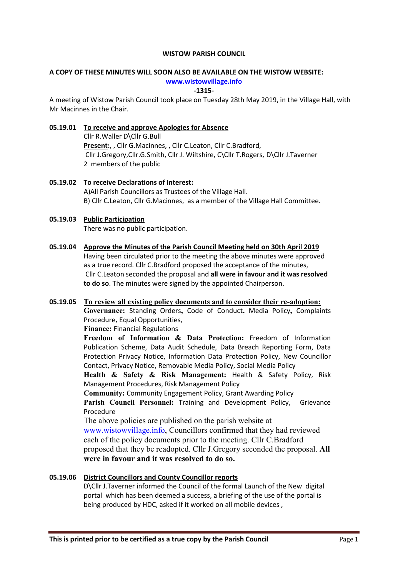### WISTOW PARISH COUNCIL

## A COPY OF THESE MINUTES WILL SOON ALSO BE AVAILABLE ON THE WISTOW WEBSITE:

## www.wistowvillage.info

#### -1315-

A meeting of Wistow Parish Council took place on Tuesday 28th May 2019, in the Village Hall, with Mr Macinnes in the Chair.

## 05.19.01 To receive and approve Apologies for Absence

Cllr R.Waller D\Cllr G.Bull Present:, , Cllr G.Macinnes, , Cllr C.Leaton, Cllr C.Bradford, Cllr J.Gregory,Cllr.G.Smith, Cllr J. Wiltshire, C\Cllr T.Rogers, D\Cllr J.Taverner 2 members of the public

05.19.02 To receive Declarations of Interest: A)All Parish Councillors as Trustees of the Village Hall. B) Cllr C.Leaton, Cllr G.Macinnes, as a member of the Village Hall Committee.

# 05.19.03 Public Participation

There was no public participation.

05.19.04 Approve the Minutes of the Parish Council Meeting held on 30th April 2019 Having been circulated prior to the meeting the above minutes were approved as a true record. Cllr C.Bradford proposed the acceptance of the minutes, Cllr C.Leaton seconded the proposal and all were in favour and it was resolved to do so. The minutes were signed by the appointed Chairperson.

## 05.19.05 To review all existing policy documents and to consider their re-adoption:

Governance: Standing Orders, Code of Conduct, Media Policy, Complaints Procedure, Equal Opportunities,

Finance: Financial Regulations

Freedom of Information & Data Protection: Freedom of Information Publication Scheme, Data Audit Schedule, Data Breach Reporting Form, Data Protection Privacy Notice, Information Data Protection Policy, New Councillor Contact, Privacy Notice, Removable Media Policy, Social Media Policy

Health & Safety & Risk Management: Health & Safety Policy, Risk Management Procedures, Risk Management Policy

Community: Community Engagement Policy, Grant Awarding Policy

Parish Council Personnel: Training and Development Policy, Grievance Procedure

The above policies are published on the parish website at www.wistowvillage.info, Councillors confirmed that they had reviewed each of the policy documents prior to the meeting. Cllr C.Bradford proposed that they be readopted. Cllr J.Gregory seconded the proposal. All were in favour and it was resolved to do so.

## 05.19.06 District Councillors and County Councillor reports

D\Cllr J.Taverner informed the Council of the formal Launch of the New digital portal which has been deemed a success, a briefing of the use of the portal is being produced by HDC, asked if it worked on all mobile devices ,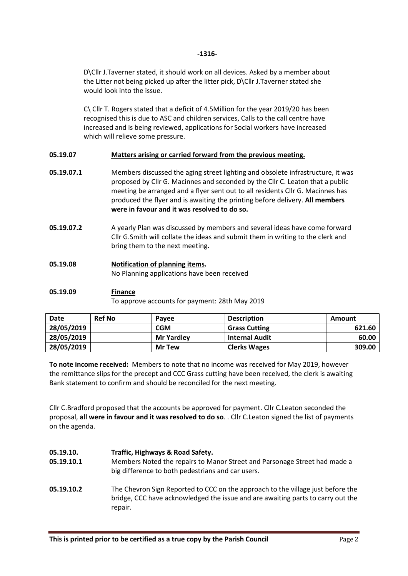### -1316-

D\Cllr J.Taverner stated, it should work on all devices. Asked by a member about the Litter not being picked up after the litter pick, D\Cllr J.Taverner stated she would look into the issue.

C\ Cllr T. Rogers stated that a deficit of 4.5Million for the year 2019/20 has been recognised this is due to ASC and children services, Calls to the call centre have increased and is being reviewed, applications for Social workers have increased which will relieve some pressure.

## 05.19.07 Matters arising or carried forward from the previous meeting.

- 05.19.07.1 Members discussed the aging street lighting and obsolete infrastructure, it was proposed by Cllr G. Macinnes and seconded by the Cllr C. Leaton that a public meeting be arranged and a flyer sent out to all residents Cllr G. Macinnes has produced the flyer and is awaiting the printing before delivery. All members were in favour and it was resolved to do so.
- 05.19.07.2 A yearly Plan was discussed by members and several ideas have come forward Cllr G.Smith will collate the ideas and submit them in writing to the clerk and bring them to the next meeting.
- 05.19.08 Notification of planning items. No Planning applications have been received

## 05.19.09 Finance

To approve accounts for payment: 28th May 2019

| Date       | <b>Ref No</b> | Payee             | <b>Description</b>    | Amount |
|------------|---------------|-------------------|-----------------------|--------|
| 28/05/2019 |               | <b>CGM</b>        | <b>Grass Cutting</b>  | 621.60 |
| 28/05/2019 |               | <b>Mr Yardley</b> | <b>Internal Audit</b> | 60.00  |
| 28/05/2019 |               | <b>Mr Tew</b>     | <b>Clerks Wages</b>   | 309.00 |

To note income received: Members to note that no income was received for May 2019, however the remittance slips for the precept and CCC Grass cutting have been received, the clerk is awaiting Bank statement to confirm and should be reconciled for the next meeting.

Cllr C.Bradford proposed that the accounts be approved for payment. Cllr C.Leaton seconded the proposal, all were in favour and it was resolved to do so. . Cllr C.Leaton signed the list of payments on the agenda.

#### 05.19.10. 05.19.10.1 05.19.10.2 Traffic, Highways & Road Safety. Members Noted the repairs to Manor Street and Parsonage Street had made a big difference to both pedestrians and car users. The Chevron Sign Reported to CCC on the approach to the village just before the bridge, CCC have acknowledged the issue and are awaiting parts to carry out the repair.